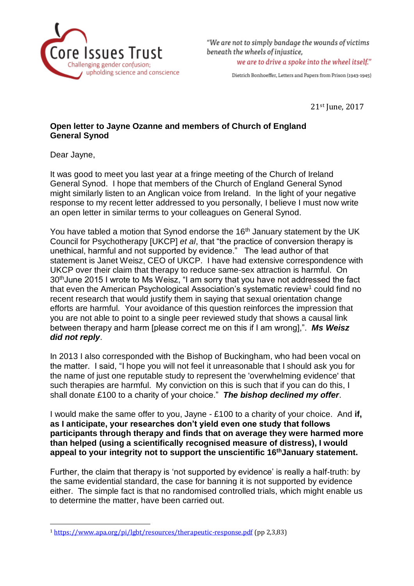

"We are not to simply bandage the wounds of victims beneath the wheels of injustice. we are to drive a spoke into the wheel itself."

Dietrich Bonhoeffer, Letters and Papers from Prison (1943-1945)

21st June, 2017

## **Open letter to Jayne Ozanne and members of Church of England General Synod**

Dear Jayne,

 $\overline{\phantom{a}}$ 

It was good to meet you last year at a fringe meeting of the Church of Ireland General Synod. I hope that members of the Church of England General Synod might similarly listen to an Anglican voice from Ireland. In the light of your negative response to my recent letter addressed to you personally, I believe I must now write an open letter in similar terms to your colleagues on General Synod.

You have tabled a motion that Synod endorse the 16<sup>th</sup> January statement by the UK Council for Psychotherapy [UKCP] *et al*, that "the practice of conversion therapy is unethical, harmful and not supported by evidence." The lead author of that statement is Janet Weisz, CEO of UKCP. I have had extensive correspondence with UKCP over their claim that therapy to reduce same-sex attraction is harmful. On 30thJune 2015 I wrote to Ms Weisz, "I am sorry that you have not addressed the fact that even the American Psychological Association's systematic review<sup>1</sup> could find no recent research that would justify them in saying that sexual orientation change efforts are harmful. Your avoidance of this question reinforces the impression that you are not able to point to a single peer reviewed study that shows a causal link between therapy and harm [please correct me on this if I am wrong],". *Ms Weisz did not reply*.

In 2013 I also corresponded with the Bishop of Buckingham, who had been vocal on the matter. I said, "I hope you will not feel it unreasonable that I should ask you for the name of just one reputable study to represent the 'overwhelming evidence' that such therapies are harmful. My conviction on this is such that if you can do this, I shall donate £100 to a charity of your choice." *The bishop declined my offer*.

I would make the same offer to you, Jayne - £100 to a charity of your choice. And **if, as I anticipate, your researches don't yield even one study that follows participants through therapy and finds that on average they were harmed more than helped (using a scientifically recognised measure of distress), I would appeal to your integrity not to support the unscientific 16thJanuary statement.** 

Further, the claim that therapy is 'not supported by evidence' is really a half-truth: by the same evidential standard, the case for banning it is not supported by evidence either. The simple fact is that no randomised controlled trials, which might enable us to determine the matter, have been carried out.

<sup>1</sup> <https://www.apa.org/pi/lgbt/resources/therapeutic-response.pdf> (pp 2,3,83)